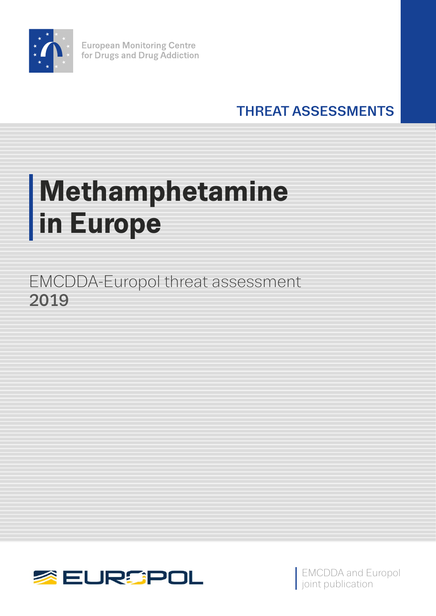

**European Monitoring Centre** for Drugs and Drug Addiction

THREAT ASSESSMENTS

# **Methamphetamine in Europe**

EMCDDA-Europol threat assessment 2019



EMCDDA and Europol joint publication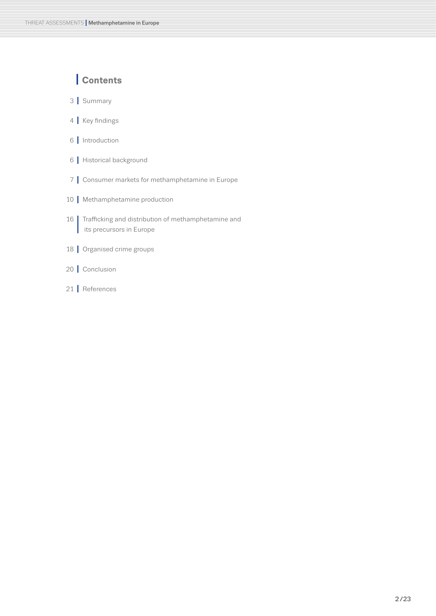## **I Contents**

- **I** Summary
- **I** Key findings
- **I** Introduction
- **I** Historical background
- **I** Consumer markets for methamphetamine in Europe
- | Methamphetamine production
- **<sup>I</sup>** Trafficking and distribution of methamphetamine and its precursors in Europe
- **I** Organised crime groups
- **I** Conclusion
- **I** References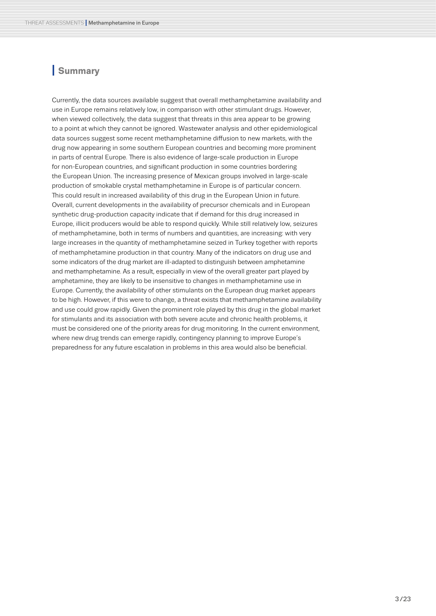### **I Summary**

Currently, the data sources available suggest that overall methamphetamine availability and use in Europe remains relatively low, in comparison with other stimulant drugs. However, when viewed collectively, the data suggest that threats in this area appear to be growing to a point at which they cannot be ignored. Wastewater analysis and other epidemiological data sources suggest some recent methamphetamine diffusion to new markets, with the drug now appearing in some southern European countries and becoming more prominent in parts of central Europe. There is also evidence of large-scale production in Europe for non-European countries, and significant production in some countries bordering the European Union. The increasing presence of Mexican groups involved in large-scale production of smokable crystal methamphetamine in Europe is of particular concern. This could result in increased availability of this drug in the European Union in future. Overall, current developments in the availability of precursor chemicals and in European synthetic drug-production capacity indicate that if demand for this drug increased in Europe, illicit producers would be able to respond quickly. While still relatively low, seizures of methamphetamine, both in terms of numbers and quantities, are increasing: with very large increases in the quantity of methamphetamine seized in Turkey together with reports of methamphetamine production in that country. Many of the indicators on drug use and some indicators of the drug market are ill-adapted to distinguish between amphetamine and methamphetamine. As a result, especially in view of the overall greater part played by amphetamine, they are likely to be insensitive to changes in methamphetamine use in Europe. Currently, the availability of other stimulants on the European drug market appears to be high. However, if this were to change, a threat exists that methamphetamine availability and use could grow rapidly. Given the prominent role played by this drug in the global market for stimulants and its association with both severe acute and chronic health problems, it must be considered one of the priority areas for drug monitoring. In the current environment, where new drug trends can emerge rapidly, contingency planning to improve Europe's preparedness for any future escalation in problems in this area would also be beneficial.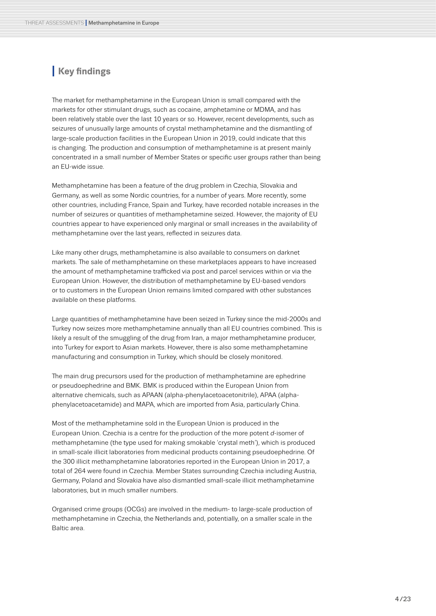## **I Key findings**

The market for methamphetamine in the European Union is small compared with the markets for other stimulant drugs, such as cocaine, amphetamine or MDMA, and has been relatively stable over the last 10 years or so. However, recent developments, such as seizures of unusually large amounts of crystal methamphetamine and the dismantling of large-scale production facilities in the European Union in 2019, could indicate that this is changing. The production and consumption of methamphetamine is at present mainly concentrated in a small number of Member States or specific user groups rather than being an EU-wide issue.

Methamphetamine has been a feature of the drug problem in Czechia, Slovakia and Germany, as well as some Nordic countries, for a number of years. More recently, some other countries, including France, Spain and Turkey, have recorded notable increases in the number of seizures or quantities of methamphetamine seized. However, the majority of EU countries appear to have experienced only marginal or small increases in the availability of methamphetamine over the last years, reflected in seizures data.

Like many other drugs, methamphetamine is also available to consumers on darknet markets. The sale of methamphetamine on these marketplaces appears to have increased the amount of methamphetamine trafficked via post and parcel services within or via the European Union. However, the distribution of methamphetamine by EU-based vendors or to customers in the European Union remains limited compared with other substances available on these platforms.

Large quantities of methamphetamine have been seized in Turkey since the mid-2000s and Turkey now seizes more methamphetamine annually than all EU countries combined. This is likely a result of the smuggling of the drug from Iran, a major methamphetamine producer, into Turkey for export to Asian markets. However, there is also some methamphetamine manufacturing and consumption in Turkey, which should be closely monitored.

The main drug precursors used for the production of methamphetamine are ephedrine or pseudoephedrine and BMK. BMK is produced within the European Union from alternative chemicals, such as APAAN (alpha-phenylacetoacetonitrile), APAA (alphaphenylacetoacetamide) and MAPA, which are imported from Asia, particularly China.

Most of the methamphetamine sold in the European Union is produced in the European Union. Czechia is a centre for the production of the more potent *d*-isomer of methamphetamine (the type used for making smokable 'crystal meth'), which is produced in small-scale illicit laboratories from medicinal products containing pseudoephedrine. Of the 300 illicit methamphetamine laboratories reported in the European Union in 2017, a total of 264 were found in Czechia. Member States surrounding Czechia including Austria, Germany, Poland and Slovakia have also dismantled small-scale illicit methamphetamine laboratories, but in much smaller numbers.

Organised crime groups (OCGs) are involved in the medium- to large-scale production of methamphetamine in Czechia, the Netherlands and, potentially, on a smaller scale in the Baltic area.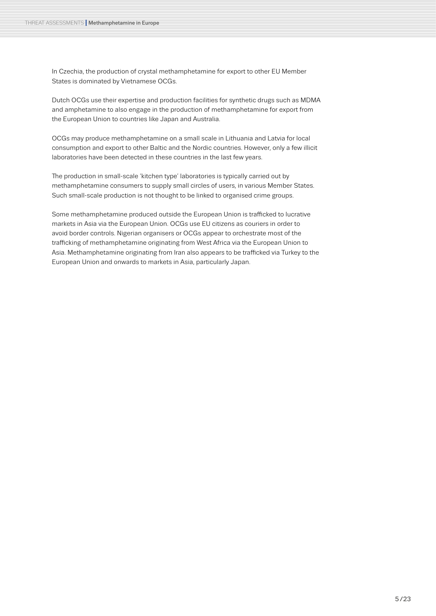In Czechia, the production of crystal methamphetamine for export to other EU Member States is dominated by Vietnamese OCGs.

Dutch OCGs use their expertise and production facilities for synthetic drugs such as MDMA and amphetamine to also engage in the production of methamphetamine for export from the European Union to countries like Japan and Australia.

OCGs may produce methamphetamine on a small scale in Lithuania and Latvia for local consumption and export to other Baltic and the Nordic countries. However, only a few illicit laboratories have been detected in these countries in the last few years.

The production in small-scale 'kitchen type' laboratories is typically carried out by methamphetamine consumers to supply small circles of users, in various Member States. Such small-scale production is not thought to be linked to organised crime groups.

Some methamphetamine produced outside the European Union is trafficked to lucrative markets in Asia via the European Union. OCGs use EU citizens as couriers in order to avoid border controls. Nigerian organisers or OCGs appear to orchestrate most of the trafficking of methamphetamine originating from West Africa via the European Union to Asia. Methamphetamine originating from Iran also appears to be trafficked via Turkey to the European Union and onwards to markets in Asia, particularly Japan.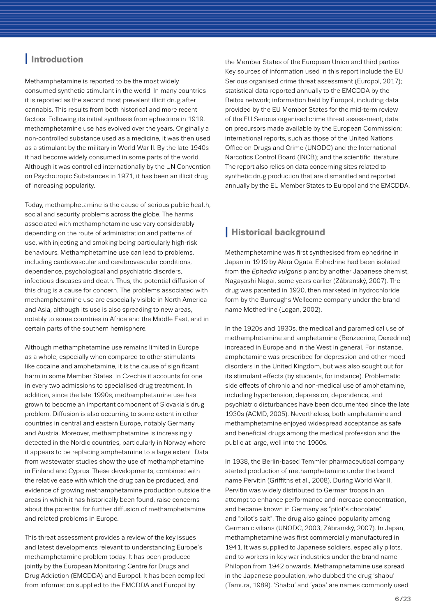## <span id="page-5-0"></span>**I Introduction**

THREAT ASSESSMENTS **I** Methamphetamine in Europe

Methamphetamine is reported to be the most widely consumed synthetic stimulant in the world. In many countries it is reported as the second most prevalent illicit drug after cannabis. This results from both historical and more recent factors. Following its initial synthesis from ephedrine in 1919, methamphetamine use has evolved over the years. Originally a non-controlled substance used as a medicine, it was then used as a stimulant by the military in World War II. By the late 1940s it had become widely consumed in some parts of the world. Although it was controlled internationally by the UN Convention on Psychotropic Substances in 1971, it has been an illicit drug of increasing popularity.

Today, methamphetamine is the cause of serious public health, social and security problems across the globe. The harms associated with methamphetamine use vary considerably depending on the route of administration and patterns of use, with injecting and smoking being particularly high-risk behaviours. Methamphetamine use can lead to problems, including cardiovascular and cerebrovascular conditions, dependence, psychological and psychiatric disorders, infectious diseases and death. Thus, the potential diffusion of this drug is a cause for concern. The problems associated with methamphetamine use are especially visible in North America and Asia, although its use is also spreading to new areas, notably to some countries in Africa and the Middle East, and in certain parts of the southern hemisphere.

Although methamphetamine use remains limited in Europe as a whole, especially when compared to other stimulants like cocaine and amphetamine, it is the cause of significant harm in some Member States. In Czechia it accounts for one in every two admissions to specialised drug treatment. In addition, since the late 1990s, methamphetamine use has grown to become an important component of Slovakia's drug problem. Diffusion is also occurring to some extent in other countries in central and eastern Europe, notably Germany and Austria. Moreover, methamphetamine is increasingly detected in the Nordic countries, particularly in Norway where it appears to be replacing amphetamine to a large extent. Data from wastewater studies show the use of methamphetamine in Finland and Cyprus. These developments, combined with the relative ease with which the drug can be produced, and evidence of growing methamphetamine production outside the areas in which it has historically been found, raise concerns about the potential for further diffusion of methamphetamine and related problems in Europe.

This threat assessment provides a review of the key issues and latest developments relevant to understanding Europe's methamphetamine problem today. It has been produced jointly by the European Monitoring Centre for Drugs and Drug Addiction (EMCDDA) and Europol. It has been compiled from information supplied to the EMCDDA and Europol by

the Member States of the European Union and third parties. Key sources of information used in this report include the EU Serious organised crime threat assessment (Europol, 2017); statistical data reported annually to the EMCDDA by the Reitox network; information held by Europol, including data provided by the EU Member States for the mid-term review of the EU Serious organised crime threat assessment; data on precursors made available by the European Commission; international reports, such as those of the United Nations Office on Drugs and Crime (UNODC) and the International Narcotics Control Board (INCB); and the scientific literature. The report also relies on data concerning sites related to synthetic drug production that are dismantled and reported annually by the EU Member States to Europol and the EMCDDA.

## <span id="page-5-2"></span><span id="page-5-1"></span>**I Historical background**

Methamphetamine was first synthesised from ephedrine in Japan in 1919 by Akira Ogata. Ephedrine had been isolated from the *Ephedra vulgaris* plant by another Japanese chemist, Nagayoshi Nagai, some years earlier (Zábranský, 2007). The drug was patented in 1920, then marketed in hydrochloride form by the Burroughs Wellcome company under the brand name Methedrine (Logan, 2002).

In the 1920s and 1930s, the medical and paramedical use of methamphetamine and amphetamine (Benzedrine, Dexedrine) increased in Europe and in the West in general. For instance, amphetamine was prescribed for depression and other mood disorders in the United Kingdom, but was also sought out for its stimulant effects (by students, for instance). Problematic side effects of chronic and non-medical use of amphetamine, including hypertension, depression, dependence, and psychiatric disturbances have been documented since the late 1930s (ACMD, 2005). Nevertheless, both amphetamine and methamphetamine enjoyed widespread acceptance as safe and beneficial drugs among the medical profession and the public at large, well into the 1960s.

In 1938, the Berlin-based Temmler pharmaceutical company started production of methamphetamine under the brand name Pervitin (Griffiths et al., 2008). During World War II, Pervitin was widely distributed to German troops in an attempt to enhance performance and increase concentration, and became known in Germany as "pilot's chocolate" and "pilot's salt". The drug also gained popularity among German civilians (UNODC, 2003; Zábranský, 2007). In Japan, methamphetamine was first commercially manufactured in 1941. It was supplied to Japanese soldiers, especially pilots, and to workers in key war industries under the brand name Philopon from 1942 onwards. Methamphetamine use spread in the Japanese population, who dubbed the drug 'shabu' (Tamura, 1989). 'Shabu' and 'yaba' are names commonly used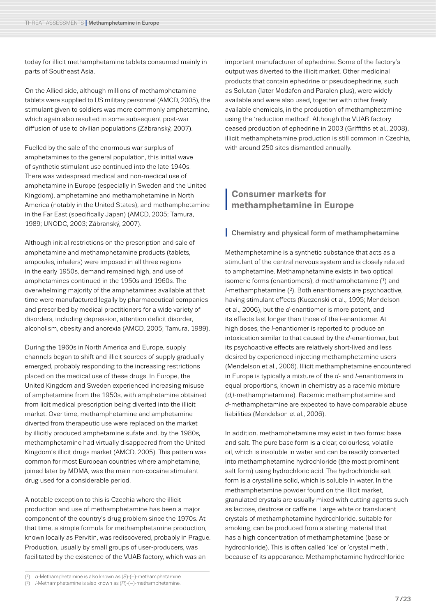today for illicit methamphetamine tablets consumed mainly in parts of Southeast Asia.

On the Allied side, although millions of methamphetamine tablets were supplied to US military personnel (AMCD, 2005), the stimulant given to soldiers was more commonly amphetamine, which again also resulted in some subsequent post-war diffusion of use to civilian populations (Zábranský, 2007).

Fuelled by the sale of the enormous war surplus of amphetamines to the general population, this initial wave of synthetic stimulant use continued into the late 1940s. There was widespread medical and non-medical use of amphetamine in Europe (especially in Sweden and the United Kingdom), amphetamine and methamphetamine in North America (notably in the United States), and methamphetamine in the Far East (specifically Japan) (AMCD, 2005; Tamura, 1989; UNODC, 2003; Zábranský, 2007).

Although initial restrictions on the prescription and sale of amphetamine and methamphetamine products (tablets, ampoules, inhalers) were imposed in all three regions in the early 1950s, demand remained high, and use of amphetamines continued in the 1950s and 1960s. The overwhelming majority of the amphetamines available at that time were manufactured legally by pharmaceutical companies and prescribed by medical practitioners for a wide variety of disorders, including depression, attention deficit disorder, alcoholism, obesity and anorexia (AMCD, 2005; Tamura, 1989).

During the 1960s in North America and Europe, supply channels began to shift and illicit sources of supply gradually emerged, probably responding to the increasing restrictions placed on the medical use of these drugs. In Europe, the United Kingdom and Sweden experienced increasing misuse of amphetamine from the 1950s, with amphetamine obtained from licit medical prescription being diverted into the illicit market. Over time, methamphetamine and amphetamine diverted from therapeutic use were replaced on the market by illicitly produced amphetamine sufate and, by the 1980s, methamphetamine had virtually disappeared from the United Kingdom's illicit drugs market (AMCD, 2005). This pattern was common for most European countries where amphetamine, joined later by MDMA, was the main non-cocaine stimulant drug used for a considerable period.

A notable exception to this is Czechia where the illicit production and use of methamphetamine has been a major component of the country's drug problem since the 1970s. At that time, a simple formula for methamphetamine production, known locally as Pervitin, was rediscovered, probably in Prague. Production, usually by small groups of user-producers, was facilitated by the existence of the VUAB factory, which was an

important manufacturer of ephedrine. Some of the factory's output was diverted to the illicit market. Other medicinal products that contain ephedrine or pseudoephedrine, such as Solutan (later Modafen and Paralen plus), were widely available and were also used, together with other freely available chemicals, in the production of methamphetamine using the 'reduction method'. Although the VUAB factory ceased production of ephedrine in 2003 (Griffiths et al., 2008), illicit methamphetamine production is still common in Czechia, with around 250 sites dismantled annually.

## <span id="page-6-0"></span>**<sup>I</sup> Consumer markets for methamphetamine in Europe**

#### **I** Chemistry and physical form of methamphetamine

Methamphetamine is a synthetic substance that acts as a stimulant of the central nervous system and is closely related to amphetamine. Methamphetamine exists in two optical isomeric forms (enantiomers), *d*-methamphetamine (1) and *l*-methamphetamine (2). Both enantiomers are psychoactive, having stimulant effects (Kuczenski et al., 1995; Mendelson et al., 2006), but the *d*-enantiomer is more potent, and its effects last longer than those of the *l*-enantiomer. At high doses, the *l*-enantiomer is reported to produce an intoxication similar to that caused by the *d*-enantiomer, but its psychoactive effects are relatively short-lived and less desired by experienced injecting methamphetamine users (Mendelson et al., 2006). Illicit methamphetamine encountered in Europe is typically a mixture of the *d*- and *l*-enantiomers in equal proportions, known in chemistry as a racemic mixture (*d,l*-methamphetamine). Racemic methamphetamine and *d*-methamphetamine are expected to have comparable abuse liabilities (Mendelson et al., 2006).

In addition, methamphetamine may exist in two forms: base and salt. The pure base form is a clear, colourless, volatile oil, which is insoluble in water and can be readily converted into methamphetamine hydrochloride (the most prominent salt form) using hydrochloric acid. The hydrochloride salt form is a crystalline solid, which is soluble in water. In the methamphetamine powder found on the illicit market, granulated crystals are usually mixed with cutting agents such as lactose, dextrose or caffeine. Large white or translucent crystals of methamphetamine hydrochloride, suitable for smoking, can be produced from a starting material that has a high concentration of methamphetamine (base or hydrochloride). This is often called 'ice' or 'crystal meth', because of its appearance. Methamphetamine hydrochloride

<sup>(1)</sup> *d*-Methamphetamine is also known as (*S*)-(+)-methamphetamine.

<sup>(2)</sup> *l*-Methamphetamine is also known as (*R*)-(–)-methamphetamine.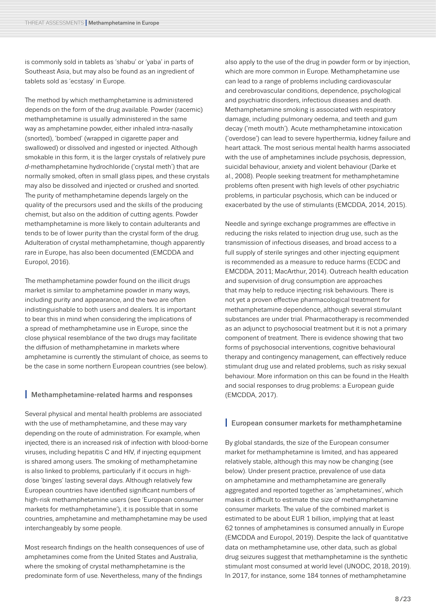is commonly sold in tablets as 'shabu' or 'yaba' in parts of Southeast Asia, but may also be found as an ingredient of tablets sold as 'ecstasy' in Europe.

The method by which methamphetamine is administered depends on the form of the drug available. Powder (racemic) methamphetamine is usually administered in the same way as amphetamine powder, either inhaled intra-nasally (snorted), 'bombed' (wrapped in cigarette paper and swallowed) or dissolved and ingested or injected. Although smokable in this form, it is the larger crystals of relatively pure *d*-methamphetamine hydrochloride ('crystal meth') that are normally smoked, often in small glass pipes, and these crystals may also be dissolved and injected or crushed and snorted. The purity of methamphetamine depends largely on the quality of the precursors used and the skills of the producing chemist, but also on the addition of cutting agents. Powder methamphetamine is more likely to contain adulterants and tends to be of lower purity than the crystal form of the drug. Adulteration of crystal methamphetamine, though apparently rare in Europe, has also been documented (EMCDDA and Europol, 2016).

The methamphetamine powder found on the illicit drugs market is similar to amphetamine powder in many ways, including purity and appearance, and the two are often indistinguishable to both users and dealers. It is important to bear this in mind when considering the implications of a spread of methamphetamine use in Europe, since the close physical resemblance of the two drugs may facilitate the diffusion of methamphetamine in markets where amphetamine is currently the stimulant of choice, as seems to be the case in some northern European countries (see below).

#### **I** Methamphetamine-related harms and responses

Several physical and mental health problems are associated with the use of methamphetamine, and these may vary depending on the route of administration. For example, when injected, there is an increased risk of infection with blood-borne viruses, including hepatitis C and HIV, if injecting equipment is shared among users. The smoking of methamphetamine is also linked to problems, particularly if it occurs in highdose 'binges' lasting several days. Although relatively few European countries have identified significant numbers of high-risk methamphetamine users (see 'European consumer markets for methamphetamine'), it is possible that in some countries, amphetamine and methamphetamine may be used interchangeably by some people.

Most research findings on the health consequences of use of amphetamines come from the United States and Australia, where the smoking of crystal methamphetamine is the predominate form of use. Nevertheless, many of the findings

also apply to the use of the drug in powder form or by injection. which are more common in Europe. Methamphetamine use can lead to a range of problems including cardiovascular and cerebrovascular conditions, dependence, psychological and psychiatric disorders, infectious diseases and death. Methamphetamine smoking is associated with respiratory damage, including pulmonary oedema, and teeth and gum decay ('meth mouth'). Acute methamphetamine intoxication ('overdose') can lead to severe hyperthermia, kidney failure and heart attack. The most serious mental health harms associated with the use of amphetamines include psychosis, depression, suicidal behaviour, anxiety and violent behaviour (Darke et al., 2008). People seeking treatment for methamphetamine problems often present with high levels of other psychiatric problems, in particular psychosis, which can be induced or exacerbated by the use of stimulants (EMCDDA, 2014, 2015).

Needle and syringe exchange programmes are effective in reducing the risks related to injection drug use, such as the transmission of infectious diseases, and broad access to a full supply of sterile syringes and other injecting equipment is recommended as a measure to reduce harms (ECDC and EMCDDA, 2011; MacArthur, 2014). Outreach health education and supervision of drug consumption are approaches that may help to reduce injecting risk behaviours. There is not yet a proven effective pharmacological treatment for methamphetamine dependence, although several stimulant substances are under trial. Pharmacotherapy is recommended as an adjunct to psychosocial treatment but it is not a primary component of treatment. There is evidence showing that two forms of psychosocial interventions, cognitive behavioural therapy and contingency management, can effectively reduce stimulant drug use and related problems, such as risky sexual behaviour. More information on this can be found in the Health and social responses to drug problems: a European guide (EMCDDA, 2017).

#### **I** European consumer markets for methamphetamine

By global standards, the size of the European consumer market for methamphetamine is limited, and has appeared relatively stable, although this may now be changing (see below). Under present practice, prevalence of use data on amphetamine and methamphetamine are generally aggregated and reported together as 'amphetamines', which makes it difficult to estimate the size of methamphetamine consumer markets. The value of the combined market is estimated to be about EUR 1 billion, implying that at least 62 tonnes of amphetamines is consumed annually in Europe (EMCDDA and Europol, 2019). Despite the lack of quantitative data on methamphetamine use, other data, such as global drug seizures suggest that methamphetamine is the synthetic stimulant most consumed at world level (UNODC, 2018, 2019). In 2017, for instance, some 184 tonnes of methamphetamine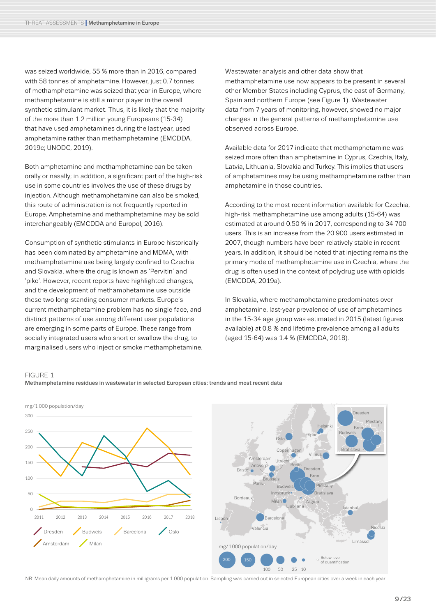was seized worldwide, 55 % more than in 2016, compared with 58 tonnes of amphetamine. However, just 0.7 tonnes of methamphetamine was seized that year in Europe, where methamphetamine is still a minor player in the overall synthetic stimulant market. Thus, it is likely that the majority of the more than 1.2 million young Europeans (15-34) that have used amphetamines during the last year, used amphetamine rather than methamphetamine (EMCDDA, 2019c; UNODC, 2019).

Both amphetamine and methamphetamine can be taken orally or nasally; in addition, a significant part of the high-risk use in some countries involves the use of these drugs by injection. Although methamphetamine can also be smoked, this route of administration is not frequently reported in Europe. Amphetamine and methamphetamine may be sold interchangeably (EMCDDA and Europol, 2016).

Consumption of synthetic stimulants in Europe historically has been dominated by amphetamine and MDMA, with methamphetamine use being largely confined to Czechia and Slovakia, where the drug is known as 'Pervitin' and 'piko'. However, recent reports have highlighted changes, and the development of methamphetamine use outside these two long-standing consumer markets. Europe's current methamphetamine problem has no single face, and distinct patterns of use among different user populations are emerging in some parts of Europe. These range from socially integrated users who snort or swallow the drug, to marginalised users who inject or smoke methamphetamine.

Wastewater analysis and other data show that methamphetamine use now appears to be present in several other Member States including Cyprus, the east of Germany, Spain and northern Europe (see Figure 1). Wastewater data from 7 years of monitoring, however, showed no major changes in the general patterns of methamphetamine use observed across Europe.

Available data for 2017 indicate that methamphetamine was seized more often than amphetamine in Cyprus, Czechia, Italy, Latvia, Lithuania, Slovakia and Turkey. This implies that users of amphetamines may be using methamphetamine rather than amphetamine in those countries.

According to the most recent information available for Czechia, high-risk methamphetamine use among adults (15-64) was estimated at around 0.50 % in 2017, corresponding to 34 700 users. This is an increase from the 20 900 users estimated in 2007, though numbers have been relatively stable in recent years. In addition, it should be noted that injecting remains the primary mode of methamphetamine use in Czechia, where the drug is often used in the context of polydrug use with opioids (EMCDDA, 2019a).

In Slovakia, where methamphetamine predominates over amphetamine, last-year prevalence of use of amphetamines in the 15-34 age group was estimated in 2015 (latest figures available) at 0.8 % and lifetime prevalence among all adults (aged 15-64) was 1.4 % (EMCDDA, 2018).

#### FIGURE 1





NB: Mean daily amounts of methamphetamine in milligrams per 1 000 population. Sampling was carried out in selected European cities over a week in each year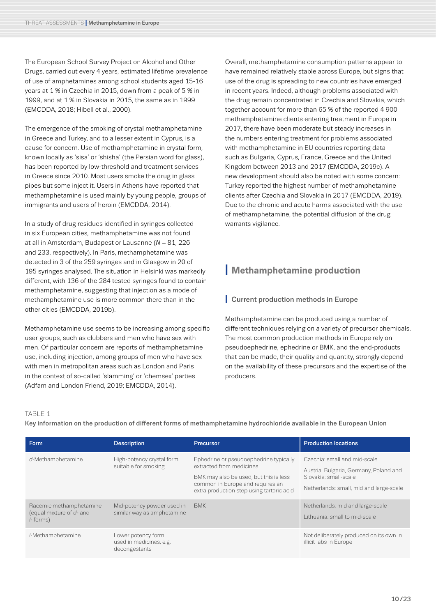The European School Survey Project on Alcohol and Other Drugs, carried out every 4 years, estimated lifetime prevalence of use of amphetamines among school students aged 15-16 years at 1 % in Czechia in 2015, down from a peak of 5 % in 1999, and at 1 % in Slovakia in 2015, the same as in 1999 (EMCDDA, 2018; Hibell et al., 2000).

The emergence of the smoking of crystal methamphetamine in Greece and Turkey, and to a lesser extent in Cyprus, is a cause for concern. Use of methamphetamine in crystal form, known locally as 'sisa' or 'shisha' (the Persian word for glass), has been reported by low-threshold and treatment services in Greece since 2010. Most users smoke the drug in glass pipes but some inject it. Users in Athens have reported that methamphetamine is used mainly by young people, groups of immigrants and users of heroin (EMCDDA, 2014).

In a study of drug residues identified in syringes collected in six European cities, methamphetamine was not found at all in Amsterdam, Budapest or Lausanne (*N* = 81, 226 and 233, respectively). In Paris, methamphetamine was detected in 3 of the 259 syringes and in Glasgow in 20 of 195 syringes analysed. The situation in Helsinki was markedly different, with 136 of the 284 tested syringes found to contain methamphetamine, suggesting that injection as a mode of methamphetamine use is more common there than in the other cities (EMCDDA, 2019b).

Methamphetamine use seems to be increasing among specific user groups, such as clubbers and men who have sex with men. Of particular concern are reports of methamphetamine use, including injection, among groups of men who have sex with men in metropolitan areas such as London and Paris in the context of so-called 'slamming' or 'chemsex' parties (Adfam and London Friend, 2019; EMCDDA, 2014).

Overall, methamphetamine consumption patterns appear to have remained relatively stable across Europe, but signs that use of the drug is spreading to new countries have emerged in recent years. Indeed, although problems associated with the drug remain concentrated in Czechia and Slovakia, which together account for more than 65 % of the reported 4 900 methamphetamine clients entering treatment in Europe in 2017, there have been moderate but steady increases in the numbers entering treatment for problems associated with methamphetamine in EU countries reporting data such as Bulgaria, Cyprus, France, Greece and the United Kingdom between 2013 and 2017 (EMCDDA, 2019c). A new development should also be noted with some concern: Turkey reported the highest number of methamphetamine clients after Czechia and Slovakia in 2017 (EMCDDA, 2019). Due to the chronic and acute harms associated with the use of methamphetamine, the potential diffusion of the drug warrants vigilance.

## <span id="page-9-0"></span>**I Methamphetamine production**

#### <span id="page-9-2"></span><span id="page-9-1"></span>**I** Current production methods in Europe

Methamphetamine can be produced using a number of different techniques relying on a variety of precursor chemicals. The most common production methods in Europe rely on pseudoephedrine, ephedrine or BMK, and the end-products that can be made, their quality and quantity, strongly depend on the availability of these precursors and the expertise of the producers.

#### TARI F 1

Key information on the production of different forms of methamphetamine hydrochloride available in the European Union

| Form                                                                | <b>Description</b>                                             | Precursor                                                                                                                                                                                     | <b>Production locations</b>                                                                                                                |
|---------------------------------------------------------------------|----------------------------------------------------------------|-----------------------------------------------------------------------------------------------------------------------------------------------------------------------------------------------|--------------------------------------------------------------------------------------------------------------------------------------------|
| d-Methamphetamine                                                   | High-potency crystal form<br>suitable for smoking              | Ephedrine or pseudoephedrine typically<br>extracted from medicines<br>BMK may also be used, but this is less<br>common in Europe and requires an<br>extra production step using tartaric acid | Czechia: small and mid-scale<br>Austria, Bulgaria, Germany, Poland and<br>Slovakia: small-scale<br>Netherlands: small, mid and large-scale |
| Racemic methamphetamine<br>(equal mixture of d- and<br>$l$ - forms) | Mid-potency powder used in<br>similar way as amphetamine       | <b>BMK</b>                                                                                                                                                                                    | Netherlands: mid and large-scale<br>Lithuania: small to mid-scale                                                                          |
| /-Methamphetamine                                                   | Lower potency form<br>used in medicines, e.g.<br>decongestants |                                                                                                                                                                                               | Not deliberately produced on its own in<br>illicit labs in Europe                                                                          |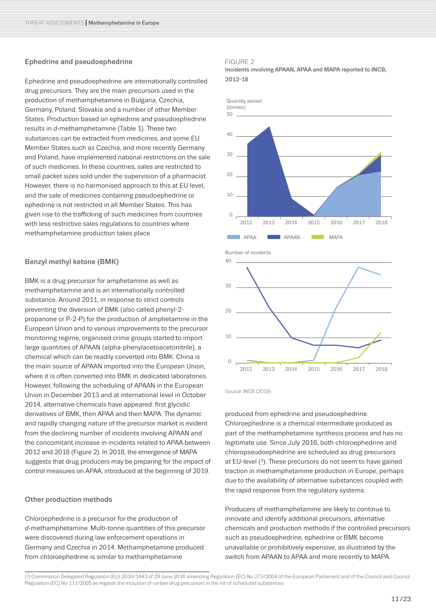#### Ephedrine and pseudoephedrine

Ephedrine and pseudoephedrine are internationally controlled drug precursors. They are the main precursors used in the production of methamphetamine in Bulgaria, Czechia, Germany, Poland, Slovakia and a number of other Member States. Production based on ephedrine and pseudoephedrine results in *d*-methamphetamine (Table 1). These two substances can be extracted from medicines, and some EU Member States such as Czechia, and more recently Germany and Poland, have implemented national restrictions on the sale of such medicines. In these countries, sales are restricted to small packet sizes sold under the supervision of a pharmacist. However, there is no harmonised approach to this at EU level, and the sale of medicines containing pseudoephedrine or ephedrine is not restricted in all Member States. This has given rise to the trafficking of such medicines from countries with less restrictive sales regulations to countries where methamphetamine production takes place.

#### Benzyl methyl ketone (BMK)

BMK is a drug precursor for amphetamine as well as methamphetamine and is an internationally controlled substance. Around 2011, in response to strict controls preventing the diversion of BMK (also called phenyl-2 propanone or P-2-P) for the production of amphetamine in the European Union and to various improvements to the precursor monitoring regime, organised crime groups started to import large quantities of APAAN (alpha-phenylacetoacetonitrile), a chemical which can be readily converted into BMK. China is the main source of APAAN imported into the European Union, where it is often converted into BMK in dedicated laboratories. However, following the scheduling of APAAN in the European Union in December 2013 and at international level in October 2014, alternative chemicals have appeared: first glycidic derivatives of BMK, then APAA and then MAPA. The dynamic and rapidly changing nature of the precursor market is evident from the declining number of incidents involving APAAN and the concomitant increase in incidents related to APAA between 2012 and 2018 (Figure 2). In 2018, the emergence of MAPA suggests that drug producers may be preparing for the impact of control measures on APAA, introduced at the beginning of 2019.

#### Other production methods

Chloroephedrine is a precursor for the production of *d*-methamphetamine. Multi-tonne quantities of this precursor were discovered during law enforcement operations in Germany and Czechia in 2014. Methamphetamine produced from chloroephedrine is similar to methamphetamine

#### FIGURE 2

Incidents involving APAAN, APAA and MAPA reported to INCB, 2012-18





Source: INCB (2019)

produced from ephedrine and pseudoephedrine. Chloroephedrine is a chemical intermediate produced as part of the methamphetamine synthesis process and has no legitimate use. Since July 2016, both chloroephedrine and chloropseudoephedrine are scheduled as drug precursors at EU-level (3). These precursors do not seem to have gained traction in methamphetamine production in Europe, perhaps due to the availability of alternative substances coupled with the rapid response from the regulatory systems.

Producers of methamphetamine are likely to continue to innovate and identify additional precursors, alternative chemicals and production methods if the controlled precursors such as pseudoephedrine, ephedrine or BMK become unavailable or prohibitively expensive, as illustrated by the switch from APAAN to APAA and more recently to MAPA.

<sup>(3)</sup> Commission Delegated Regulation (EU) 2016/1443 of 29 June 2016 amending Regulation (EC) No 273/2004 of the European Parliament and of the Council and Council Regulation (EC) No 111/2005 as regards the inclusion of certain drug precursors in the list of scheduled substances.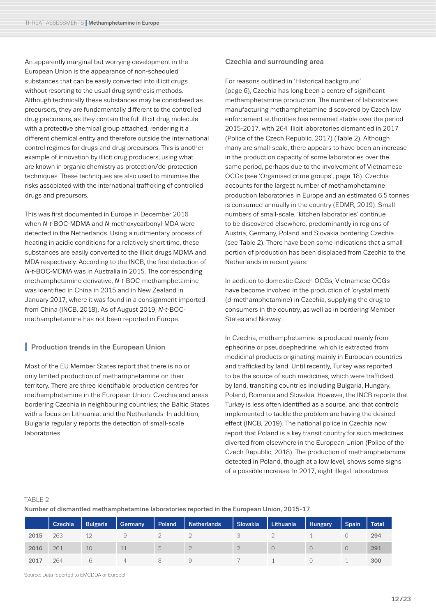An apparently marginal but worrying development in the European Union is the appearance of non-scheduled substances that can be easily converted into illicit drugs without resorting to the usual drug synthesis methods. Although technically these substances may be considered as precursors, they are fundamentally different to the controlled drug precursors, as they contain the full illicit drug molecule with a protective chemical group attached, rendering it a different chemical entity and therefore outside the international control regimes for drugs and drug precursors. This is another example of innovation by illicit drug producers, using what are known in organic chemistry as protection/de-protection techniques. These techniques are also used to minimise the risks associated with the international trafficking of controlled drugs and precursors.

This was first documented in Europe in December 2016 when *N-t*-BOC-MDMA and *N*-methoxycarbonyl-MDA were detected in the Netherlands. Using a rudimentary process of heating in acidic conditions for a relatively short time, these substances are easily converted to the illicit drugs MDMA and MDA respectively. According to the INCB, the first detection of *N-t-*BOC-MDMA was in Australia in 2015. The corresponding methamphetamine derivative, *N-t*-BOC-methamphetamine was identified in China in 2015 and in New Zealand in January 2017, where it was found in a consignment imported from China (INCB, 2018). As of August 2019, *N-t-*BOCmethamphetamine has not been reported in Europe.

#### **Production trends in the European Union**

Most of the EU Member States report that there is no or only limited production of methamphetamine on their territory. There are three identifiable production centres for methamphetamine in the European Union: Czechia and areas bordering Czechia in neighbouring countries; the Baltic States with a focus on Lithuania; and the Netherlands. In addition, Bulgaria regularly reports the detection of small-scale laboratories.

#### Czechia and surrounding area

For reasons outlined in '[Historical background](#page-5-2)' (page [6](#page-5-2)), Czechia has long been a centre of significant methamphetamine production. The number of laboratories manufacturing methamphetamine discovered by Czech law enforcement authorities has remained stable over the period 2015-2017, with 264 illicit laboratories dismantled in 2017 (Police of the Czech Republic, 2017) (Table 2). Although many are small-scale, there appears to have been an increase in the production capacity of some laboratories over the same period, perhaps due to the involvement of Vietnamese OCGs (see '[Organised crime groups](#page-17-1)', [page 18](#page-17-0)). Czechia accounts for the largest number of methamphetamine production laboratories in Europe and an estimated 6.5 tonnes is consumed annually in the country (EDMR, 2019). Small numbers of small-scale, 'kitchen laboratories' continue to be discovered elsewhere, predominantly in regions of Austria, Germany, Poland and Slovakia bordering Czechia (see Table 2). There have been some indications that a small portion of production has been displaced from Czechia to the Netherlands in recent years.

In addition to domestic Czech OCGs, Vietnamese OCGs have become involved in the production of 'crystal meth' (*d*-methamphetamine) in Czechia, supplying the drug to consumers in the country, as well as in bordering Member States and Norway.

In Czechia, methamphetamine is produced mainly from ephedrine or pseudoephedrine, which is extracted from medicinal products originating mainly in European countries and trafficked by land. Until recently, Turkey was reported to be the source of such medicines, which were trafficked by land, transiting countries including Bulgaria, Hungary, Poland, Romania and Slovakia. However, the INCB reports that Turkey is less often identified as a source, and that controls implemented to tackle the problem are having the desired effect (INCB, 2019). The national police in Czechia now report that Poland is a key transit country for such medicines diverted from elsewhere in the European Union (Police of the Czech Republic, 2018). The production of methamphetamine detected in Poland, though at a low level, shows some signs of a possible increase. In 2017, eight illegal laboratories

#### TABLE 2

Number of dismantled methamphetamine laboratories reported in the European Union, 2015-17

|      | Czechia | <b>Bulgaria</b> | Germany | Poland | <b>Netherlands</b> | Slovakia | Lithuania | <b>Hungary</b> | <b>Spain</b>     | Total |
|------|---------|-----------------|---------|--------|--------------------|----------|-----------|----------------|------------------|-------|
| 2015 | 263     |                 |         |        |                    |          |           |                |                  | 294   |
| 2016 | 261     | 10              | 11      | $\cup$ |                    |          | O         | $\circ$        | $\left( \right)$ | 291   |
| 2017 | 264     |                 | 4       |        |                    |          |           |                |                  | 300   |

Source: Data reported to EMCDDA or Europol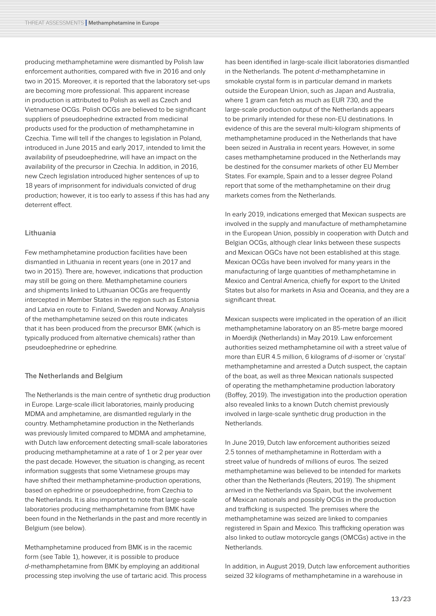producing methamphetamine were dismantled by Polish law enforcement authorities, compared with five in 2016 and only two in 2015. Moreover, it is reported that the laboratory set-ups are becoming more professional. This apparent increase in production is attributed to Polish as well as Czech and Vietnamese OCGs. Polish OCGs are believed to be significant suppliers of pseudoephedrine extracted from medicinal products used for the production of methamphetamine in Czechia. Time will tell if the changes to legislation in Poland, introduced in June 2015 and early 2017, intended to limit the availability of pseudoephedrine, will have an impact on the availability of the precursor in Czechia. In addition, in 2016, new Czech legislation introduced higher sentences of up to 18 years of imprisonment for individuals convicted of drug production; however, it is too early to assess if this has had any deterrent effect.

#### Lithuania

Few methamphetamine production facilities have been dismantled in Lithuania in recent years (one in 2017 and two in 2015). There are, however, indications that production may still be going on there. Methamphetamine couriers and shipments linked to Lithuanian OCGs are frequently intercepted in Member States in the region such as Estonia and Latvia en route to Finland, Sweden and Norway. Analysis of the methamphetamine seized on this route indicates that it has been produced from the precursor BMK (which is typically produced from alternative chemicals) rather than pseudoephedrine or ephedrine.

#### The Netherlands and Belgium

The Netherlands is the main centre of synthetic drug production in Europe. Large-scale illicit laboratories, mainly producing MDMA and amphetamine, are dismantled regularly in the country. Methamphetamine production in the Netherlands was previously limited compared to MDMA and amphetamine, with Dutch law enforcement detecting small-scale laboratories producing methamphetamine at a rate of 1 or 2 per year over the past decade. However, the situation is changing, as recent information suggests that some Vietnamese groups may have shifted their methamphetamine-production operations, based on ephedrine or pseudoephedrine, from Czechia to the Netherlands. It is also important to note that large-scale laboratories producing methamphetamine from BMK have been found in the Netherlands in the past and more recently in Belgium (see below).

Methamphetamine produced from BMK is in the racemic form (see Table 1), however, it is possible to produce *d*-methamphetamine from BMK by employing an additional processing step involving the use of tartaric acid. This process

has been identified in large-scale illicit laboratories dismantled in the Netherlands. The potent *d*-methamphetamine in smokable crystal form is in particular demand in markets outside the European Union, such as Japan and Australia, where 1 gram can fetch as much as EUR 730, and the large-scale production output of the Netherlands appears to be primarily intended for these non-EU destinations. In evidence of this are the several multi-kilogram shipments of methamphetamine produced in the Netherlands that have been seized in Australia in recent years. However, in some cases methamphetamine produced in the Netherlands may be destined for the consumer markets of other EU Member States. For example, Spain and to a lesser degree Poland report that some of the methamphetamine on their drug markets comes from the Netherlands.

In early 2019, indications emerged that Mexican suspects are involved in the supply and manufacture of methamphetamine in the European Union, possibly in cooperation with Dutch and Belgian OCGs, although clear links between these suspects and Mexican OGCs have not been established at this stage. Mexican OCGs have been involved for many years in the manufacturing of large quantities of methamphetamine in Mexico and Central America, chiefly for export to the United States but also for markets in Asia and Oceania, and they are a significant threat.

Mexican suspects were implicated in the operation of an illicit methamphetamine laboratory on an 85-metre barge moored in Moerdijk (Netherlands) in May 2019. Law enforcement authorities seized methamphetamine oil with a street value of more than EUR 4.5 million, 6 kilograms of *d*-isomer or 'crystal' methamphetamine and arrested a Dutch suspect, the captain of the boat, as well as three Mexican nationals suspected of operating the methamphetamine production laboratory (Boffey, 2019). The investigation into the production operation also revealed links to a known Dutch chemist previously involved in large-scale synthetic drug production in the Netherlands.

In June 2019, Dutch law enforcement authorities seized 2.5 tonnes of methamphetamine in Rotterdam with a street value of hundreds of millions of euros. The seized methamphetamine was believed to be intended for markets other than the Netherlands (Reuters, 2019). The shipment arrived in the Netherlands via Spain, but the involvement of Mexican nationals and possibly OCGs in the production and trafficking is suspected. The premises where the methamphetamine was seized are linked to companies registered in Spain and Mexico. This trafficking operation was also linked to outlaw motorcycle gangs (OMCGs) active in the Netherlands.

In addition, in August 2019, Dutch law enforcement authorities seized 32 kilograms of methamphetamine in a warehouse in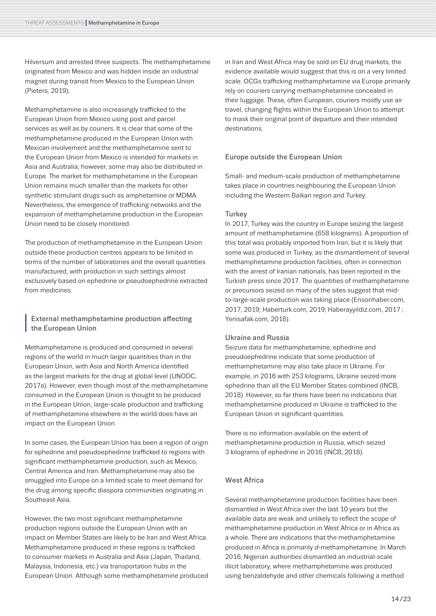Hilversum and arrested three suspects. The methamphetamine originated from Mexico and was hidden inside an industrial magnet during transit from Mexico to the European Union (Pieters, 2019).

Methamphetamine is also increasingly trafficked to the European Union from Mexico using post and parcel services as well as by couriers. It is clear that some of the methamphetamine produced in the European Union with Mexican involvement and the methamphetamine sent to the European Union from Mexico is intended for markets in Asia and Australia; however, some may also be distributed in Europe. The market for methamphetamine in the European Union remains much smaller than the markets for other synthetic stimulant drugs such as amphetamine or MDMA. Nevertheless, the emergence of trafficking networks and the expansion of methamphetamine production in the European Union need to be closely monitored.

The production of methamphetamine in the European Union outside these production centres appears to be limited in terms of the number of laboratories and the overall quantities manufactured, with production in such settings almost exclusively based on ephedrine or pseudoephedrine extracted from medicines.

**<sup>I</sup>** External methamphetamine production affecting the European Union

Methamphetamine is produced and consumed in several regions of the world in much larger quantities than in the European Union, with Asia and North America identified as the largest markets for the drug at global level (UNODC, 2017a). However, even though most of the methamphetamine consumed in the European Union is thought to be produced in the European Union, large-scale production and trafficking of methamphetamine elsewhere in the world does have an impact on the European Union.

In some cases, the European Union has been a region of origin for ephedrine and pseudoephedrine trafficked to regions with significant methamphetamine production, such as Mexico, Central America and Iran. Methamphetamine may also be smuggled into Europe on a limited scale to meet demand for the drug among specific diaspora communities originating in Southeast Asia.

However, the two most significant methamphetamine production regions outside the European Union with an impact on Member States are likely to be Iran and West Africa. Methamphetamine produced in these regions is trafficked to consumer markets in Australia and Asia (Japan, Thailand, Malaysia, Indonesia, etc.) via transportation hubs in the European Union. Although some methamphetamine produced in Iran and West Africa may be sold on EU drug markets, the evidence available would suggest that this is on a very limited scale. OCGs trafficking methamphetamine via Europe primarily rely on couriers carrying methamphetamine concealed in their luggage. These, often European, couriers mostly use air travel, changing flights within the European Union to attempt to mask their original point of departure and their intended destinations.

#### Europe outside the European Union

Small- and medium-scale production of methamphetamine takes place in countries neighbouring the European Union including the Western Balkan region and Turkey.

#### **Turkey**

In 2017, Turkey was the country in Europe seizing the largest amount of methamphetamine (658 kilograms). A proportion of this total was probably imported from Iran, but it is likely that some was produced in Turkey, as the dismantlement of several methamphetamine production facilities, often in connection with the arrest of Iranian nationals, has been reported in the Turkish press since 2017. The quantities of methamphetamine or precursors seized on many of the sites suggest that midto-large-scale production was taking place (Ensonhaber.com, 2017, 2019; Haberturk.com, 2019; Haberayyildiz.com, 2017 ; Yenisafak.com, 2018).

#### Ukraine and Russia

Seizure data for methamphetamine, ephedrine and pseudoephedrine indicate that some production of methamphetamine may also take place in Ukraine. For example, in 2016 with 253 kilograms, Ukraine seized more ephedrine than all the EU Member States combined (INCB, 2018). However, so far there have been no indications that methamphetamine produced in Ukraine is trafficked to the European Union in significant quantities.

There is no information available on the extent of methamphetamine production in Russia, which seized 3 kilograms of ephedrine in 2016 (INCB, 2018).

#### West Africa

Several methamphetamine production facilities have been dismantled in West Africa over the last 10 years but the available data are weak and unlikely to reflect the scope of methamphetamine production in West Africa or in Africa as a whole. There are indications that the methamphetamine produced in Africa is primarily *d*-methamphetamine. In March 2016, Nigerian authorities dismantled an industrial-scale illicit laboratory, where methamphetamine was produced using benzaldehyde and other chemicals following a method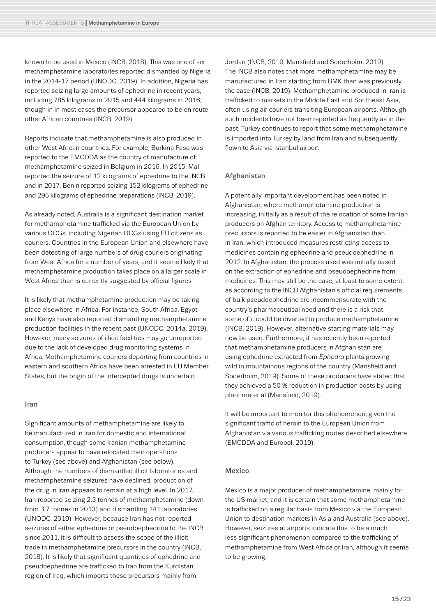known to be used in Mexico (INCB, 2018). This was one of six methamphetamine laboratories reported dismantled by Nigeria in the 2014-17 period (UNODC, 2019). In addition, Nigeria has reported seizing large amounts of ephedrine in recent years, including 785 kilograms in 2015 and 444 kilograms in 2016, though in in most cases the precursor appeared to be en route other African countries (INCB, 2019).

Reports indicate that methamphetamine is also produced in other West African countries. For example, Burkina Faso was reported to the EMCDDA as the country of manufacture of methamphetamine seized in Belgium in 2016. In 2015, Mali reported the seizure of 12 kilograms of ephedrine to the INCB and in 2017, Benin reported seizing 152 kilograms of ephedrine and 295 kilograms of ephedrine preparations (INCB, 2019).

As already noted, Australia is a significant destination market for methamphetamine trafficked via the European Union by various OCGs, including Nigerian OCGs using EU citizens as couriers. Countries in the European Union and elsewhere have been detecting of large numbers of drug couriers originating from West Africa for a number of years, and it seems likely that methamphetamine production takes place on a larger scale in West Africa than is currently suggested by official figures.

It is likely that methamphetamine production may be taking place elsewhere in Africa. For instance, South Africa, Egypt and Kenya have also reported dismantling methamphetamine production facilities in the recent past (UNODC, 2014a, 2019). However, many seizures of illicit facilities may go unreported due to the lack of developed drug monitoring systems in Africa. Methamphetamine couriers departing from countries in eastern and southern Africa have been arrested in EU Member States, but the origin of the intercepted drugs is uncertain.

#### Iran

Significant amounts of methamphetamine are likely to be manufactured in Iran for domestic and international consumption, though some Iranian methamphetamine producers appear to have relocated their operations to Turkey (see above) and Afghanistan (see below). Although the numbers of dismantled illicit laboratories and methamphetamine seizures have declined, production of the drug in Iran appears to remain at a high level. In 2017, Iran reported seizing 2.3 tonnes of methamphetamine (down from 3.7 tonnes in 2013) and dismantling 141 laboratories (UNODC, 2019). However, because Iran has not reported seizures of either ephedrine or pseudoephedrine to the INCB since 2011, it is difficult to assess the scope of the illicit trade in methamphetamine precursors in the country (INCB, 2018). It is likely that significant quantities of ephedrine and pseudoephedrine are trafficked to Iran from the Kurdistan region of Iraq, which imports these precursors mainly from

Jordan (INCB, 2019; Mansfield and Soderholm, 2019). The INCB also notes that more methamphetamine may be manufactured in Iran starting from BMK than was previously the case (INCB, 2019). Methamphetamine produced in Iran is trafficked to markets in the Middle East and Southeast Asia, often using air couriers transiting European airports. Although such incidents have not been reported as frequently as in the past, Turkey continues to report that some methamphetamine is imported into Turkey by land from Iran and subsequently flown to Asia via Istanbul airport.

#### Afghanistan

A potentially important development has been noted in Afghanistan, where methamphetamine production is increasing, initially as a result of the relocation of some Iranian producers on Afghan territory. Access to methamphetamine precursors is reported to be easier in Afghanistan than in Iran, which introduced measures restricting access to medicines containing ephedrine and pseudoephedrine in 2012. In Afghanistan, the process used was initially based on the extraction of ephedrine and pseudoephedrine from medicines. This may still be the case, at least to some extent, as according to the INCB Afghanistan's official requirements of bulk pseudoephedrine are incommensurate with the country's pharmaceutical need and there is a risk that some of it could be diverted to produce methamphetamine (INCB, 2019). However, alternative starting materials may now be used. Furthermore, it has recently been reported that methamphetamine producers in Afghanistan are using ephedrine extracted from *Ephedra* plants growing wild in mountainous regions of the country (Mansfield and Soderholm, 2019). Some of these producers have stated that they achieved a 50 % reduction in production costs by using plant material (Mansfield, 2019).

It will be important to monitor this phenomenon, given the significant traffic of heroin to the European Union from Afghanistan via various trafficking routes described elsewhere (EMCDDA and Europol, 2019).

#### Mexico

Mexico is a major producer of methamphetamine, mainly for the US market, and it is certain that some methamphetamine is trafficked on a regular basis from Mexico via the European Union to destination markets in Asia and Australia (see above). However, seizures at airports indicate this to be a much less significant phenomenon compared to the trafficking of methamphetamine from West Africa or Iran, although it seems to be growing.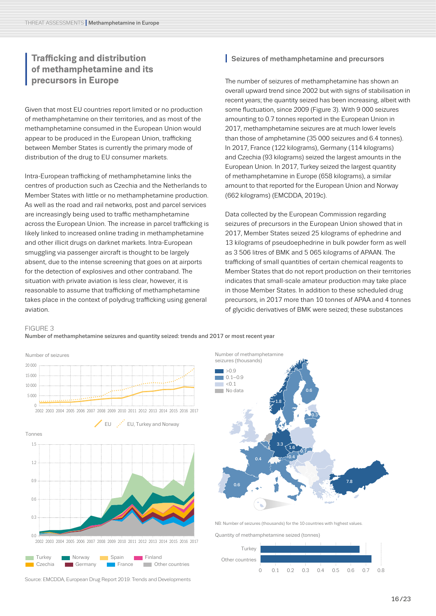## <span id="page-15-0"></span>**II Trafficking and distribution**<br>**I** precursors in Europe<br>**I** precursors in Europe **of methamphetamine and its precursors in Europe**

Given that most EU countries report limited or no production of methamphetamine on their territories, and as most of the methamphetamine consumed in the European Union would appear to be produced in the European Union, trafficking between Member States is currently the primary mode of distribution of the drug to EU consumer markets.

Intra-European trafficking of methamphetamine links the centres of production such as Czechia and the Netherlands to Member States with little or no methamphetamine production. As well as the road and rail networks, post and parcel services are increasingly being used to traffic methamphetamine across the European Union. The increase in parcel trafficking is likely linked to increased online trading in methamphetamine and other illicit drugs on darknet markets. Intra-European smuggling via passenger aircraft is thought to be largely absent, due to the intense screening that goes on at airports for the detection of explosives and other contraband. The situation with private aviation is less clear, however, it is reasonable to assume that trafficking of methamphetamine takes place in the context of polydrug trafficking using general aviation.

#### **I** Seizures of methamphetamine and precursors

The number of seizures of methamphetamine has shown an overall upward trend since 2002 but with signs of stabilisation in recent years; the quantity seized has been increasing, albeit with some fluctuation, since 2009 (Figure 3). With 9 000 seizures amounting to 0.7 tonnes reported in the European Union in 2017, methamphetamine seizures are at much lower levels than those of amphetamine (35 000 seizures and 6.4 tonnes). In 2017, France (122 kilograms), Germany (114 kilograms) and Czechia (93 kilograms) seized the largest amounts in the European Union. In 2017, Turkey seized the largest quantity of methamphetamine in Europe (658 kilograms), a similar amount to that reported for the European Union and Norway (662 kilograms) (EMCDDA, 2019c).

Data collected by the European Commission regarding seizures of precursors in the European Union showed that in 2017, Member States seized 25 kilograms of ephedrine and 13 kilograms of pseudoephedrine in bulk powder form as well as 3 506 litres of BMK and 5 065 kilograms of APAAN. The trafficking of small quantities of certain chemical reagents to Member States that do not report production on their territories indicates that small-scale amateur production may take place in those Member States. In addition to these scheduled drug precursors, in 2017 more than 10 tonnes of APAA and 4 tonnes of glycidic derivatives of BMK were seized; these substances

#### FIGURE 3

Number of methamphetamine seizures and quantity seized: trends and 2017 or most recent year



Source: EMCDDA, European Drug Report 2019: Trends and Developments



NB: Number of seizures (thousands) for the 10 countries with highest values.

Quantity of methamphetamine seized (tonnes)

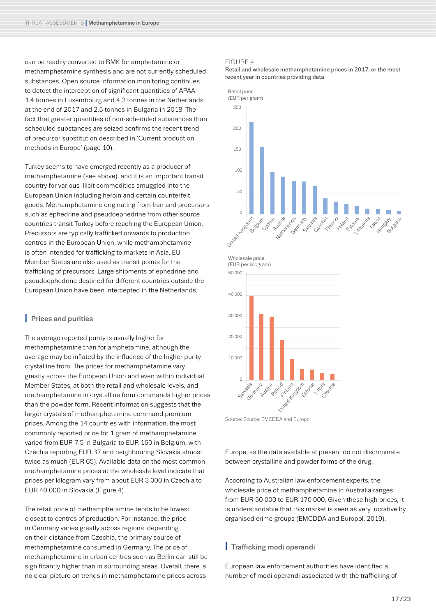can be readily converted to BMK for amphetamine or methamphetamine synthesis and are not currently scheduled substances. Open source information monitoring continues to detect the interception of significant quantities of APAA: 1.4 tonnes in Luxembourg and 4.2 tonnes in the Netherlands at the end of 2017 and 2.5 tonnes in Bulgaria in 2018. The fact that greater quantities of non-scheduled substances than scheduled substances are seized confirms the recent trend of precursor substitution described in '[Current production](#page-9-1)  [methods in Europe](#page-9-1)' ([page 10](#page-9-2)).

Turkey seems to have emerged recently as a producer of methamphetamine (see above), and it is an important transit country for various illicit commodities smuggled into the European Union including heroin and certain counterfeit goods. Methamphetamine originating from Iran and precursors such as ephedrine and pseudoephedrine from other source countries transit Turkey before reaching the European Union. Precursors are typically trafficked onwards to production centres in the European Union, while methamphetamine is often intended for trafficking to markets in Asia. EU Member States are also used as transit points for the trafficking of precursors. Large shipments of ephedrine and pseudoephedrine destined for different countries outside the European Union have been intercepted in the Netherlands.

#### **I** Prices and purities

The average reported purity is usually higher for methamphetamine than for amphetamine, although the average may be inflated by the influence of the higher purity crystalline from. The prices for methamphetamine vary greatly across the European Union and even within individual Member States, at both the retail and wholesale levels, and methamphetamine in crystalline form commands higher prices than the powder form. Recent information suggests that the larger crystals of methamphetamine command premium prices. Among the 14 countries with information, the most commonly reported price for 1 gram of methamphetamine varied from EUR 7.5 in Bulgaria to EUR 160 in Belgium, with Czechia reporting EUR 37 and neighbouring Slovakia almost twice as much (EUR 65). Available data on the most common methamphetamine prices at the wholesale level indicate that prices per kilogram vary from about EUR 3 000 in Czechia to EUR 40 000 in Slovakia (Figure 4).

The retail price of methamphetamine tends to be lowest closest to centres of production. For instance, the price in Germany varies greatly across regions depending on their distance from Czechia, the primary source of methamphetamine consumed in Germany. The price of methamphetamine in urban centres such as Berlin can still be significantly higher than in surrounding areas. Overall, there is no clear picture on trends in methamphetamine prices across

#### FIGURE 4

Retail and wholesale methamphetamine prices in 2017, or the most recent year in countries providing data



Source: Source: EMCDDA and Europol

Europe, as the data available at present do not discriminate between crystalline and powder forms of the drug.

According to Australian law enforcement experts, the wholesale price of methamphetamine in Australia ranges from EUR 50 000 to EUR 170 000. Given these high prices, it is understandable that this market is seen as very lucrative by organised crime groups (EMCDDA and Europol, 2019).

#### **I** Trafficking modi operandi

European law enforcement authorities have identified a number of modi operandi associated with the trafficking of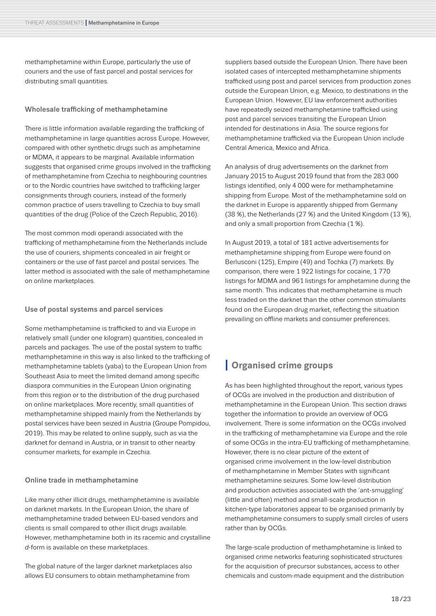methamphetamine within Europe, particularly the use of couriers and the use of fast parcel and postal services for distributing small quantities.

#### Wholesale trafficking of methamphetamine

There is little information available regarding the trafficking of methamphetamine in large quantities across Europe. However, compared with other synthetic drugs such as amphetamine or MDMA, it appears to be marginal. Available information suggests that organised crime groups involved in the trafficking of methamphetamine from Czechia to neighbouring countries or to the Nordic countries have switched to trafficking larger consignments through couriers, instead of the formerly common practice of users travelling to Czechia to buy small quantities of the drug (Police of the Czech Republic, 2016).

The most common modi operandi associated with the trafficking of methamphetamine from the Netherlands include the use of couriers, shipments concealed in air freight or containers or the use of fast parcel and postal services. The latter method is associated with the sale of methamphetamine on online marketplaces.

#### Use of postal systems and parcel services

Some methamphetamine is trafficked to and via Europe in relatively small (under one kilogram) quantities, concealed in parcels and packages. The use of the postal system to traffic methamphetamine in this way is also linked to the trafficking of methamphetamine tablets (yaba) to the European Union from Southeast Asia to meet the limited demand among specific diaspora communities in the European Union originating from this region or to the distribution of the drug purchased on online marketplaces. More recently, small quantities of methamphetamine shipped mainly from the Netherlands by postal services have been seized in Austria (Groupe Pompidou, 2019). This may be related to online supply, such as via the darknet for demand in Austria, or in transit to other nearby consumer markets, for example in Czechia.

#### Online trade in methamphetamine

Like many other illicit drugs, methamphetamine is available on darknet markets. In the European Union, the share of methamphetamine traded between EU-based vendors and clients is small compared to other illicit drugs available. However, methamphetamine both in its racemic and crystalline *d*-form is available on these marketplaces.

The global nature of the larger darknet marketplaces also allows EU consumers to obtain methamphetamine from

suppliers based outside the European Union. There have been isolated cases of intercepted methamphetamine shipments trafficked using post and parcel services from production zones outside the European Union, e.g. Mexico, to destinations in the European Union. However, EU law enforcement authorities have repeatedly seized methamphetamine trafficked using post and parcel services transiting the European Union intended for destinations in Asia. The source regions for methamphetamine trafficked via the European Union include Central America, Mexico and Africa.

An analysis of drug advertisements on the darknet from January 2015 to August 2019 found that from the 283 000 listings identified, only 4 000 were for methamphetamine shipping from Europe. Most of the methamphetamine sold on the darknet in Europe is apparently shipped from Germany (38 %), the Netherlands (27 %) and the United Kingdom (13 %), and only a small proportion from Czechia (1 %).

In August 2019, a total of 181 active advertisements for methamphetamine shipping from Europe were found on Berlusconi (125), Empire (49) and Tochka (7) markets. By comparison, there were 1 922 listings for cocaine, 1 770 listings for MDMA and 961 listings for amphetamine during the same month. This indicates that methamphetamine is much less traded on the darknet than the other common stimulants found on the European drug market, reflecting the situation prevailing on offline markets and consumer preferences.

## <span id="page-17-1"></span><span id="page-17-0"></span>**I Organised crime groups**

As has been highlighted throughout the report, various types of OCGs are involved in the production and distribution of methamphetamine in the European Union. This section draws together the information to provide an overview of OCG involvement. There is some information on the OCGs involved in the trafficking of methamphetamine via Europe and the role of some OCGs in the intra-EU trafficking of methamphetamine. However, there is no clear picture of the extent of organised crime involvement in the low-level distribution of methamphetamine in Member States with significant methamphetamine seizures. Some low-level distribution and production activities associated with the 'ant-smuggling' (little and often) method and small-scale production in kitchen-type laboratories appear to be organised primarily by methamphetamine consumers to supply small circles of users rather than by OCGs.

The large-scale production of methamphetamine is linked to organised crime networks featuring sophisticated structures for the acquisition of precursor substances, access to other chemicals and custom-made equipment and the distribution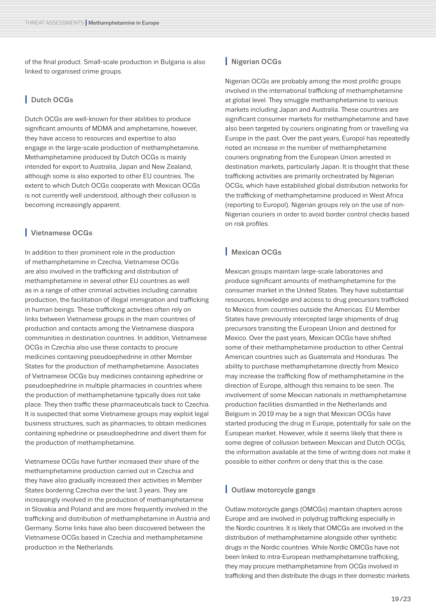of the final product. Small-scale production in Bulgaria is also linked to organised crime groups.

#### **I** Dutch OCGs

Dutch OCGs are well-known for their abilities to produce significant amounts of MDMA and amphetamine, however, they have access to resources and expertise to also engage in the large-scale production of methamphetamine. Methamphetamine produced by Dutch OCGs is mainly intended for export to Australia, Japan and New Zealand, although some is also exported to other EU countries. The extent to which Dutch OCGs cooperate with Mexican OCGs is not currently well understood, although their collusion is becoming increasingly apparent.

#### **I** Vietnamese OCGs

In addition to their prominent role in the production of methamphetamine in Czechia, Vietnamese OCGs are also involved in the trafficking and distribution of methamphetamine in several other EU countries as well as in a range of other criminal activities including cannabis production, the facilitation of illegal immigration and trafficking in human beings. These trafficking activities often rely on links between Vietnamese groups in the main countries of production and contacts among the Vietnamese diaspora communities in destination countries. In addition, Vietnamese OCGs in Czechia also use these contacts to procure medicines containing pseudoephedrine in other Member States for the production of methamphetamine. Associates of Vietnamese OCGs buy medicines containing ephedrine or pseudoephedrine in multiple pharmacies in countries where the production of methamphetamine typically does not take place. They then traffic these pharmaceuticals back to Czechia. It is suspected that some Vietnamese groups may exploit legal business structures, such as pharmacies, to obtain medicines containing ephedrine or pseudoephedrine and divert them for the production of methamphetamine.

Vietnamese OCGs have further increased their share of the methamphetamine production carried out in Czechia and they have also gradually increased their activities in Member States bordering Czechia over the last 3 years. They are increasingly involved in the production of methamphetamine in Slovakia and Poland and are more frequently involved in the trafficking and distribution of methamphetamine in Austria and Germany. Some links have also been discovered between the Vietnamese OCGs based in Czechia and methamphetamine production in the Netherlands.

#### **I** Nigerian OCGs

Nigerian OCGs are probably among the most prolific groups involved in the international trafficking of methamphetamine at global level. They smuggle methamphetamine to various markets including Japan and Australia. These countries are significant consumer markets for methamphetamine and have also been targeted by couriers originating from or travelling via Europe in the past. Over the past years, Europol has repeatedly noted an increase in the number of methamphetamine couriers originating from the European Union arrested in destination markets, particularly Japan. It is thought that these trafficking activities are primarily orchestrated by Nigerian OCGs, which have established global distribution networks for the trafficking of methamphetamine produced in West Africa (reporting to Europol). Nigerian groups rely on the use of non-Nigerian couriers in order to avoid border control checks based on risk profiles.

#### **I** Mexican OCGs

Mexican groups maintain large-scale laboratories and produce significant amounts of methamphetamine for the consumer market in the United States. They have substantial resources, knowledge and access to drug precursors trafficked to Mexico from countries outside the Americas. EU Member States have previously intercepted large shipments of drug precursors transiting the European Union and destined for Mexico. Over the past years, Mexican OCGs have shifted some of their methamphetamine production to other Central American countries such as Guatemala and Honduras. The ability to purchase methamphetamine directly from Mexico may increase the trafficking flow of methamphetamine in the direction of Europe, although this remains to be seen. The involvement of some Mexican nationals in methamphetamine production facilities dismantled in the Netherlands and Belgium in 2019 may be a sign that Mexican OCGs have started producing the drug in Europe, potentially for sale on the European market. However, while it seems likely that there is some degree of collusion between Mexican and Dutch OCGs, the information available at the time of writing does not make it possible to either confirm or deny that this is the case.

#### **I** Outlaw motorcycle gangs

Outlaw motorcycle gangs (OMCGs) maintain chapters across Europe and are involved in polydrug trafficking especially in the Nordic countries. It is likely that OMCGs are involved in the distribution of methamphetamine alongside other synthetic drugs in the Nordic countries. While Nordic OMCGs have not been linked to intra-European methamphetamine trafficking, they may procure methamphetamine from OCGs involved in trafficking and then distribute the drugs in their domestic markets.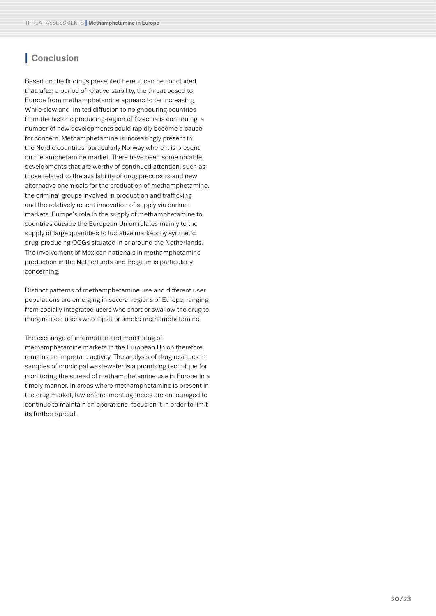## <span id="page-19-0"></span>**I Conclusion**

Based on the findings presented here, it can be concluded that, after a period of relative stability, the threat posed to Europe from methamphetamine appears to be increasing. While slow and limited diffusion to neighbouring countries from the historic producing-region of Czechia is continuing, a number of new developments could rapidly become a cause for concern. Methamphetamine is increasingly present in the Nordic countries, particularly Norway where it is present on the amphetamine market. There have been some notable developments that are worthy of continued attention, such as those related to the availability of drug precursors and new alternative chemicals for the production of methamphetamine, the criminal groups involved in production and trafficking and the relatively recent innovation of supply via darknet markets. Europe's role in the supply of methamphetamine to countries outside the European Union relates mainly to the supply of large quantities to lucrative markets by synthetic drug-producing OCGs situated in or around the Netherlands. The involvement of Mexican nationals in methamphetamine production in the Netherlands and Belgium is particularly concerning.

Distinct patterns of methamphetamine use and different user populations are emerging in several regions of Europe, ranging from socially integrated users who snort or swallow the drug to marginalised users who inject or smoke methamphetamine.

The exchange of information and monitoring of

methamphetamine markets in the European Union therefore remains an important activity. The analysis of drug residues in samples of municipal wastewater is a promising technique for monitoring the spread of methamphetamine use in Europe in a timely manner. In areas where methamphetamine is present in the drug market, law enforcement agencies are encouraged to continue to maintain an operational focus on it in order to limit its further spread.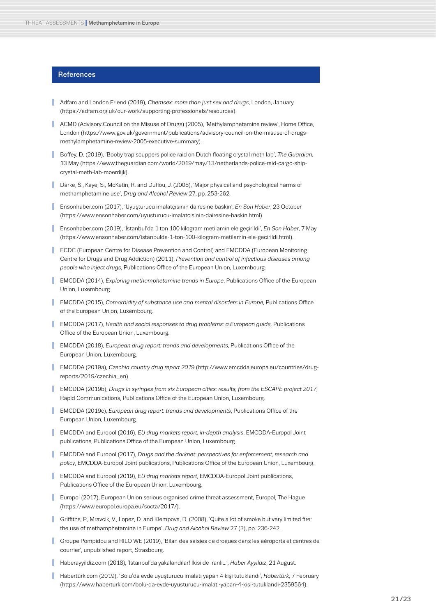#### <span id="page-20-0"></span>**References**

- **I** Adfam and London Friend (2019), *Chemsex: more than just sex and drugs*, London, January (https://adfam.org.uk/our-work/supporting-professionals/resources).
- **I** ACMD (Advisory Council on the Misuse of Drugs) (2005), 'Methylamphetamine review', Home Office, London (https://www.gov.uk/government/publications/advisory-council-on-the-misuse-of-drugsmethylamphetamine-review-2005-executive-summary).
- **I** Boffey, D. (2019), 'Booby trap scuppers police raid on Dutch floating crystal meth lab', *The Guardian*, 13 May [\(https://www.theguardian.com/world/2019/may/13/netherlands-police-raid-cargo-ship](https://www.theguardian.com/world/2019/may/13/netherlands-police-raid-cargo-ship-crystal-meth-lab-moerdijk)[crystal-meth-lab-moerdijk\)](https://www.theguardian.com/world/2019/may/13/netherlands-police-raid-cargo-ship-crystal-meth-lab-moerdijk).
- **I** Darke, S., Kaye, S., McKetin, R. and Duflou, J. (2008), 'Major physical and psychological harms of methamphetamine use', *Drug and Alcohol Review* 27, pp. 253-262.
- **I** Ensonhaber.com (2017), 'Uyuşturucu imalatçısının dairesine baskın', *En Son Haber*, 23 October ([https://www.ensonhaber.com/uyusturucu-imalatcisinin-dairesine-baskin.html\)](https://www.ensonhaber.com/uyusturucu-imalatcisinin-dairesine-baskin.html).
- **I** Ensonhaber.com (2019), 'İstanbul'da 1 ton 100 kilogram metilamin ele geçirildi', *En Son Haber*, 7 May ([https://www.ensonhaber.com/istanbulda-1-ton-100-kilogram-metilamin-ele-gecirildi.html\)](https://www.ensonhaber.com/istanbulda-1-ton-100-kilogram-metilamin-ele-gecirildi.html).
- **I** ECDC (European Centre for Disease Prevention and Control) and EMCDDA (European Monitoring Centre for Drugs and Drug Addiction) (2011), *Prevention and control of infectious diseases among people who inject drugs*, Publications Office of the European Union, Luxembourg.
- **I EMCDDA** (2014), *Exploring methamphetamine trends in Europe*, Publications Office of the European Union, Luxembourg.
- **I** EMCDDA (2015), *Comorbidity of substance use and mental disorders in Europe*, Publications Office of the European Union, Luxembourg.
- **I** EMCDDA (2017)*, Health and social responses to drug problems: a European guide,* Publications Office of the European Union, Luxembourg.
- **I** EMCDDA (2018), *European drug report: trends and developments*, Publications Office of the European Union, Luxembourg.
- **I** EMCDDA (2019a), *Czechia country drug report 201*9 [\(http://www.emcdda.europa.eu/countries/drug](http://www.emcdda.europa.eu/countries/drug-reports/2019/czechia_en)[reports/2019/czechia\\_en](http://www.emcdda.europa.eu/countries/drug-reports/2019/czechia_en)).
- **I** EMCDDA (2019b), *Drugs in syringes from six European cities: results, from the ESCAPE project 2017*, Rapid Communications, Publications Office of the European Union, Luxembourg.
- **I** EMCDDA (2019c), *European drug report: trends and developments*, Publications Office of the European Union, Luxembourg.
- **I** EMCDDA and Europol (2016), *EU drug markets report: in-depth analysis*, EMCDDA-Europol Joint publications, Publications Office of the European Union, Luxembourg.
- **I** EMCDDA and Europol (2017), *Drugs and the darknet: perspectives for enforcement, research and policy*, EMCDDA-Europol Joint publications, Publications Office of the European Union, Luxembourg.
- **I** EMCDDA and Europol (2019), *EU drug markets report*, EMCDDA-Europol Joint publications, Publications Office of the European Union, Luxembourg.
- **I** Europol (2017), European Union serious organised crime threat assessment, Europol, The Hague (<https://www.europol.europa.eu/socta/2017/>).
- **I** Griffiths, P., Mravcik, V., Lopez, D. and Klempova, D. (2008), 'Quite a lot of smoke but very limited fire: the use of methamphetamine in Europe', *Drug and Alcohol Review* 27 (3), pp. 236-242.
- **I** Groupe Pompidou and RILO WE (2019), 'Bilan des saisies de drogues dans les aéroports et centres de courrier', unpublished report, Strasbourg.
- **I** Haberayyildiz.com (2018), 'İstanbul'da yakalandılar! İkisi de İranlı...', *Haber Ayyıldız*, 21 August.
- **I** Habertürk.com (2019), 'Bolu'da evde uyuşturucu imalatı yapan 4 kişi tutuklandı', *Habertürk*, 7 February ([https://www.haberturk.com/bolu-da-evde-uyusturucu-imalati-yapan-4-kisi-tutuklandi-2359564\)](https://www.haberturk.com/bolu-da-evde-uyusturucu-imalati-yapan-4-kisi-tutuklandi-2359564).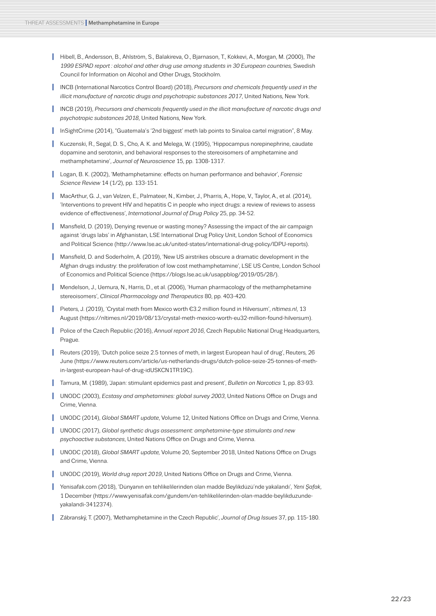- **I** Hibell, B., Andersson, B., Ahlström, S., Balakireva, O., Bjarnason, T., Kokkevi, A., Morgan, M. (2000), *The 1999 ESPAD report : alcohol and other drug use among students in 30 European countries,* Swedish Council for Information on Alcohol and Other Drugs, Stockholm.
- **INCB** (International Narcotics Control Board) (2018), *Precursors and chemicals frequently used in the illicit manufacture of narcotic drugs and psychotropic substances 2017*, United Nations, New York.
- **INCB (2019), Precursors and chemicals frequently used in the illicit manufacture of narcotic drugs and** *psychotropic substances 2018*, United Nations, New York.
- InSightCrime (2014), "Guatemala's '2nd biggest' meth lab points to Sinaloa cartel migration", 8 May.
- **I** Kuczenski, R., Segal, D. S., Cho, A. K. and Melega, W. (1995), 'Hippocampus norepinephrine, caudate dopamine and serotonin, and behavioral responses to the stereoisomers of amphetamine and methamphetamine', *Journal of Neuroscience* 15, pp. 1308-1317.
- **I** Logan, B. K. (2002), 'Methamphetamine: effects on human performance and behavior', *Forensic Science Review* 14 (1/2), pp. 133-151.
- **I** MacArthur, G. J., van Velzen, E., Palmateer, N., Kimber, J., Pharris, A., Hope, V., Taylor, A., et al. (2014), 'Interventions to prevent HIV and hepatitis C in people who inject drugs: a review of reviews to assess evidence of effectiveness', *International Journal of Drug Policy* 25, pp. 34-52.
- **I** Mansfield, D. (2019), Denying revenue or wasting money? Assessing the impact of the air campaign against 'drugs labs' in Afghanistan, LSE International Drug Policy Unit, London School of Economics and Political Science ([http://www.lse.ac.uk/united-states/international-drug-policy/IDPU-reports\)](http://www.lse.ac.uk/united-states/international-drug-policy/IDPU-reports).
- **I** Mansfield, D. and Soderholm, A. (2019), 'New US airstrikes obscure a dramatic development in the Afghan drugs industry: the proliferation of low cost methamphetamine', LSE US Centre, London School of Economics and Political Science (https://blogs.lse.ac.uk/usappblog/2019/05/28/).
- **I** Mendelson, J., Uemura, N., Harris, D., et al. (2006), 'Human pharmacology of the methamphetamine stereoisomers', *Clinical Pharmacology and Therapeutics* 80, pp. 403-420.
- **I** Pieters, J. (2019), 'Crystal meth from Mexico worth €3.2 million found in Hilversum', *nltimes.nl*, 13 August [\(https://nltimes.nl/2019/08/13/crystal-meth-mexico-worth-eu32-million-found-hilversum](https://nltimes.nl/2019/08/13/crystal-meth-mexico-worth-eu32-million-found-hilversum)).
- **I** Police of the Czech Republic (2016), *Annual report 2016*, Czech Republic National Drug Headquarters, Prague.
- **I Reuters (2019), 'Dutch police seize 2.5 tonnes of meth, in largest European haul of drug', Reuters, 26** June [\(https://www.reuters.com/article/us-netherlands-drugs/dutch-police-seize-25-tonnes-of-meth](https://www.reuters.com/article/us-netherlands-drugs/dutch-police-seize-25-tonnes-of-meth-in-largest-european-haul-of-drug-idUSKCN1TR19C)[in-largest-european-haul-of-drug-idUSKCN1TR19C\)](https://www.reuters.com/article/us-netherlands-drugs/dutch-police-seize-25-tonnes-of-meth-in-largest-european-haul-of-drug-idUSKCN1TR19C).
- **I** Tamura, M. (1989), 'Japan: stimulant epidemics past and present', *Bulletin on Narcotics* 1, pp. 83-93.
- **I** UNODC (2003), *Ecstasy and amphetamines: global survey 2003*, United Nations Office on Drugs and Crime, Vienna.
- **I** UNODC (2014), *Global SMART update*, Volume 12, United Nations Office on Drugs and Crime, Vienna.
- **I** UNODC (2017), *Global synthetic drugs assessment: amphetamine-type stimulants and new psychoactive substances*, United Nations Office on Drugs and Crime, Vienna.
- **I** UNODC (2018), *Global SMART update,* Volume 20, September 2018, United Nations Office on Drugs and Crime, Vienna.
- **I** UNODC (2019), *World drug report 2019*, United Nations Office on Drugs and Crime, Vienna.
- **I** Yenisafak.com (2018), 'Dünyanın en tehlikelilerinden olan madde Beylikdüzü'nde yakalandı', *Yeni Şafak*, 1 December ([https://www.yenisafak.com/gundem/en-tehlikelilerinden-olan-madde-beylikduzunde](https://www.yenisafak.com/gundem/en-tehlikelilerinden-olan-madde-beylikduzunde-yakalandi-3412374)[yakalandi-3412374\)](https://www.yenisafak.com/gundem/en-tehlikelilerinden-olan-madde-beylikduzunde-yakalandi-3412374).
- **I** Zábranský, T. (2007), 'Methamphetamine in the Czech Republic', *Journal of Drug Issues* 37, pp. 115-180.